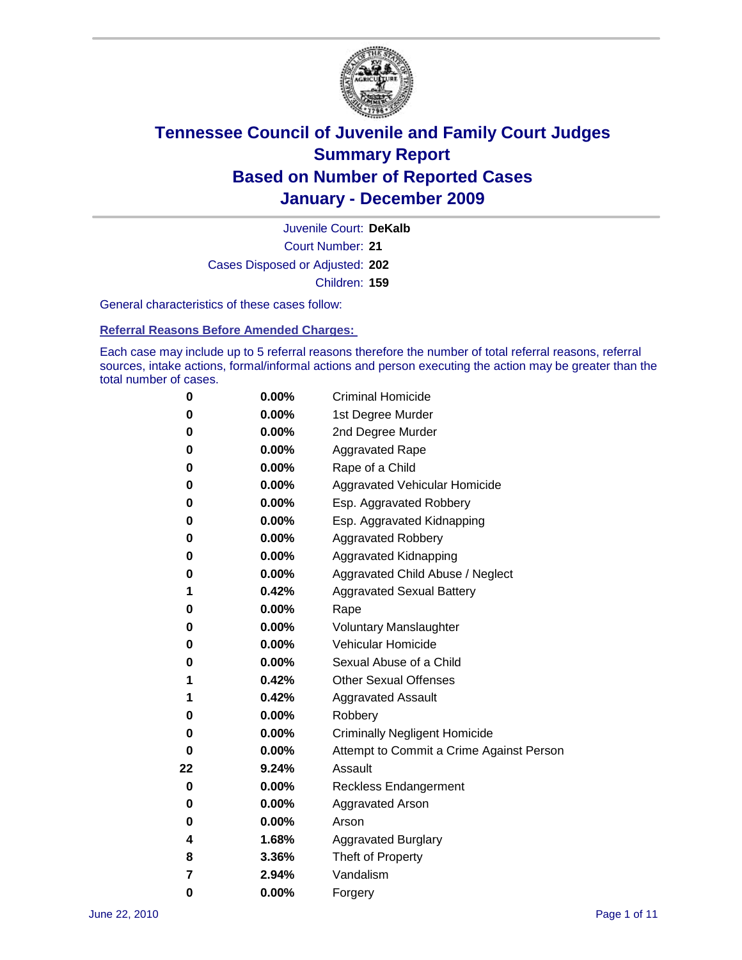

Court Number: **21** Juvenile Court: **DeKalb** Cases Disposed or Adjusted: **202** Children: **159**

General characteristics of these cases follow:

**Referral Reasons Before Amended Charges:** 

Each case may include up to 5 referral reasons therefore the number of total referral reasons, referral sources, intake actions, formal/informal actions and person executing the action may be greater than the total number of cases.

| 0  | 0.00%    | <b>Criminal Homicide</b>                 |  |  |  |  |
|----|----------|------------------------------------------|--|--|--|--|
| 0  | 0.00%    | 1st Degree Murder                        |  |  |  |  |
| 0  | 0.00%    | 2nd Degree Murder                        |  |  |  |  |
| 0  | 0.00%    | <b>Aggravated Rape</b>                   |  |  |  |  |
| 0  | 0.00%    | Rape of a Child                          |  |  |  |  |
| 0  | 0.00%    | Aggravated Vehicular Homicide            |  |  |  |  |
| 0  | 0.00%    | Esp. Aggravated Robbery                  |  |  |  |  |
| 0  | 0.00%    | Esp. Aggravated Kidnapping               |  |  |  |  |
| 0  | 0.00%    | <b>Aggravated Robbery</b>                |  |  |  |  |
| 0  | 0.00%    | Aggravated Kidnapping                    |  |  |  |  |
| 0  | 0.00%    | Aggravated Child Abuse / Neglect         |  |  |  |  |
| 1  | 0.42%    | <b>Aggravated Sexual Battery</b>         |  |  |  |  |
| 0  | 0.00%    | Rape                                     |  |  |  |  |
| 0  | $0.00\%$ | <b>Voluntary Manslaughter</b>            |  |  |  |  |
| 0  | 0.00%    | Vehicular Homicide                       |  |  |  |  |
| 0  | 0.00%    | Sexual Abuse of a Child                  |  |  |  |  |
| 1  | 0.42%    | <b>Other Sexual Offenses</b>             |  |  |  |  |
| 1  | 0.42%    | <b>Aggravated Assault</b>                |  |  |  |  |
| 0  | $0.00\%$ | Robbery                                  |  |  |  |  |
| 0  | 0.00%    | <b>Criminally Negligent Homicide</b>     |  |  |  |  |
| 0  | 0.00%    | Attempt to Commit a Crime Against Person |  |  |  |  |
| 22 | 9.24%    | Assault                                  |  |  |  |  |
| 0  | 0.00%    | <b>Reckless Endangerment</b>             |  |  |  |  |
| 0  | 0.00%    | <b>Aggravated Arson</b>                  |  |  |  |  |
| 0  | 0.00%    | Arson                                    |  |  |  |  |
| 4  | 1.68%    | <b>Aggravated Burglary</b>               |  |  |  |  |
| 8  | 3.36%    | Theft of Property                        |  |  |  |  |
| 7  | 2.94%    | Vandalism                                |  |  |  |  |
| 0  | 0.00%    | Forgery                                  |  |  |  |  |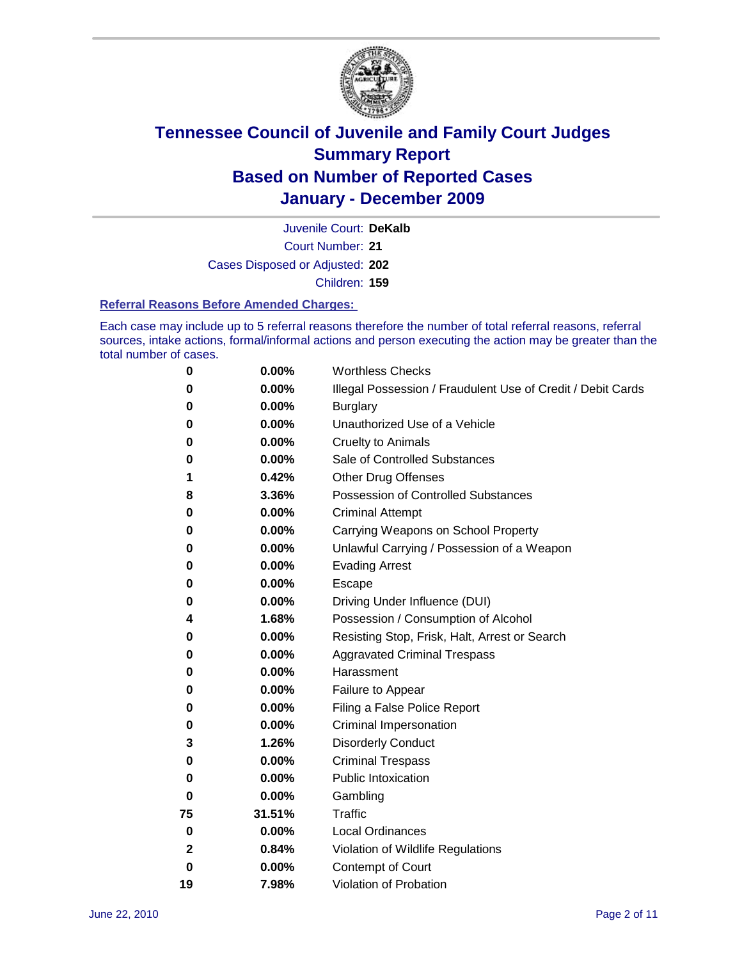

Court Number: **21** Juvenile Court: **DeKalb** Cases Disposed or Adjusted: **202**

Children: **159**

#### **Referral Reasons Before Amended Charges:**

Each case may include up to 5 referral reasons therefore the number of total referral reasons, referral sources, intake actions, formal/informal actions and person executing the action may be greater than the total number of cases.

| 0            | 0.00%  | <b>Worthless Checks</b>                                     |
|--------------|--------|-------------------------------------------------------------|
| 0            | 0.00%  | Illegal Possession / Fraudulent Use of Credit / Debit Cards |
| 0            | 0.00%  | <b>Burglary</b>                                             |
| 0            | 0.00%  | Unauthorized Use of a Vehicle                               |
| 0            | 0.00%  | <b>Cruelty to Animals</b>                                   |
| 0            | 0.00%  | Sale of Controlled Substances                               |
| 1            | 0.42%  | <b>Other Drug Offenses</b>                                  |
| 8            | 3.36%  | <b>Possession of Controlled Substances</b>                  |
| 0            | 0.00%  | <b>Criminal Attempt</b>                                     |
| 0            | 0.00%  | Carrying Weapons on School Property                         |
| 0            | 0.00%  | Unlawful Carrying / Possession of a Weapon                  |
| 0            | 0.00%  | <b>Evading Arrest</b>                                       |
| 0            | 0.00%  | Escape                                                      |
| 0            | 0.00%  | Driving Under Influence (DUI)                               |
| 4            | 1.68%  | Possession / Consumption of Alcohol                         |
| 0            | 0.00%  | Resisting Stop, Frisk, Halt, Arrest or Search               |
| 0            | 0.00%  | <b>Aggravated Criminal Trespass</b>                         |
| 0            | 0.00%  | Harassment                                                  |
| 0            | 0.00%  | Failure to Appear                                           |
| 0            | 0.00%  | Filing a False Police Report                                |
| 0            | 0.00%  | Criminal Impersonation                                      |
| 3            | 1.26%  | <b>Disorderly Conduct</b>                                   |
| 0            | 0.00%  | <b>Criminal Trespass</b>                                    |
| 0            | 0.00%  | <b>Public Intoxication</b>                                  |
| 0            | 0.00%  | Gambling                                                    |
| 75           | 31.51% | <b>Traffic</b>                                              |
| 0            | 0.00%  | <b>Local Ordinances</b>                                     |
| $\mathbf{2}$ | 0.84%  | Violation of Wildlife Regulations                           |
| 0            | 0.00%  | Contempt of Court                                           |
| 19           | 7.98%  | Violation of Probation                                      |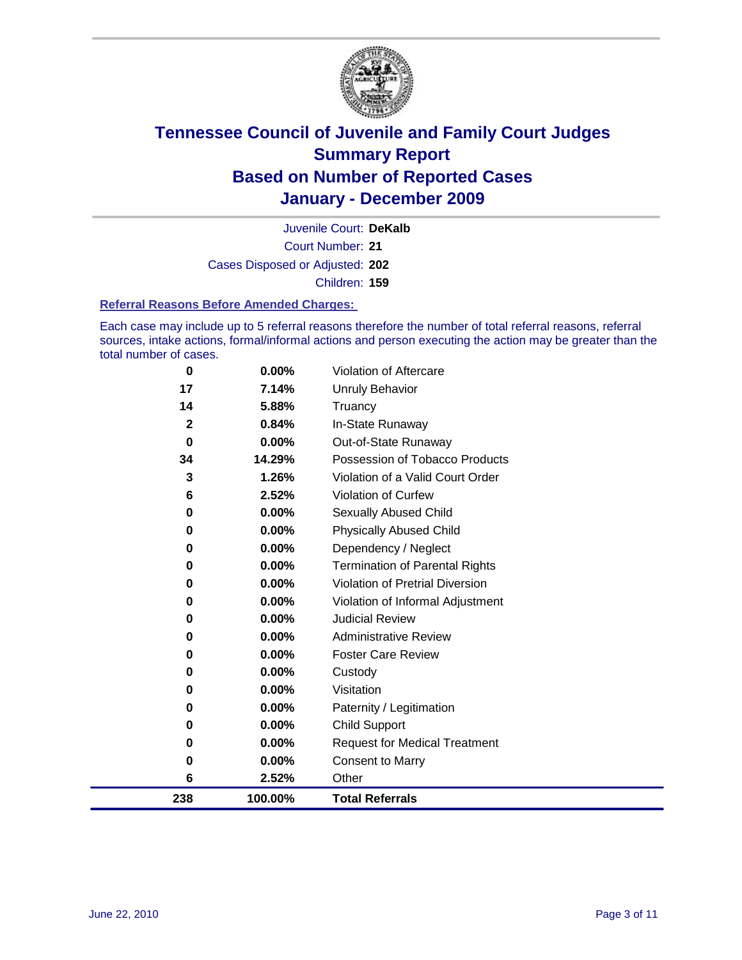

Court Number: **21** Juvenile Court: **DeKalb** Cases Disposed or Adjusted: **202** Children: **159**

#### **Referral Reasons Before Amended Charges:**

Each case may include up to 5 referral reasons therefore the number of total referral reasons, referral sources, intake actions, formal/informal actions and person executing the action may be greater than the total number of cases.

| $\bf{0}$     | 0.00%    | Violation of Aftercare                 |
|--------------|----------|----------------------------------------|
| 17           | 7.14%    | Unruly Behavior                        |
| 14           | 5.88%    | Truancy                                |
| $\mathbf{2}$ | 0.84%    | In-State Runaway                       |
| $\bf{0}$     | 0.00%    | Out-of-State Runaway                   |
| 34           | 14.29%   | Possession of Tobacco Products         |
| 3            | 1.26%    | Violation of a Valid Court Order       |
| 6            | 2.52%    | Violation of Curfew                    |
| 0            | 0.00%    | <b>Sexually Abused Child</b>           |
| 0            | 0.00%    | <b>Physically Abused Child</b>         |
| 0            | 0.00%    | Dependency / Neglect                   |
| $\bf{0}$     | 0.00%    | <b>Termination of Parental Rights</b>  |
| 0            | 0.00%    | <b>Violation of Pretrial Diversion</b> |
| 0            | 0.00%    | Violation of Informal Adjustment       |
| 0            | $0.00\%$ | <b>Judicial Review</b>                 |
| 0            | $0.00\%$ | <b>Administrative Review</b>           |
| 0            | 0.00%    | <b>Foster Care Review</b>              |
| 0            | 0.00%    | Custody                                |
| 0            | 0.00%    | Visitation                             |
| 0            | 0.00%    | Paternity / Legitimation               |
| 0            | 0.00%    | <b>Child Support</b>                   |
| 0            | $0.00\%$ | <b>Request for Medical Treatment</b>   |
| 0            | 0.00%    | <b>Consent to Marry</b>                |
| 6            | 2.52%    | Other                                  |
| 238          | 100.00%  | <b>Total Referrals</b>                 |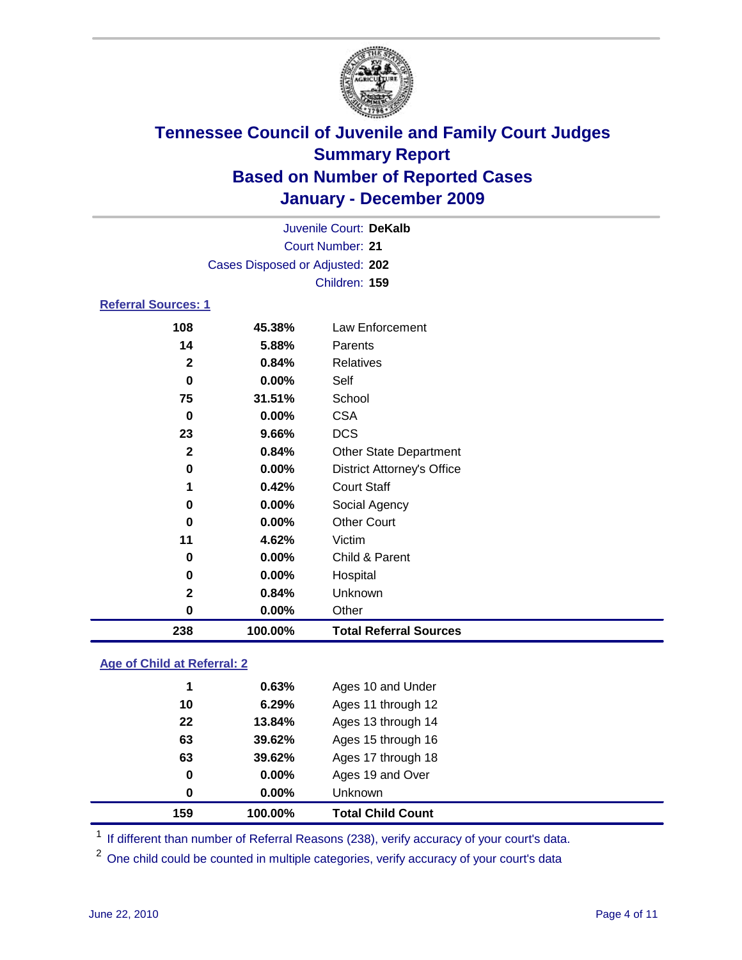

|                            |                                 | Juvenile Court: DeKalb            |  |  |  |
|----------------------------|---------------------------------|-----------------------------------|--|--|--|
|                            | <b>Court Number: 21</b>         |                                   |  |  |  |
|                            | Cases Disposed or Adjusted: 202 |                                   |  |  |  |
|                            |                                 | Children: 159                     |  |  |  |
| <b>Referral Sources: 1</b> |                                 |                                   |  |  |  |
| 108                        | 45.38%                          | Law Enforcement                   |  |  |  |
| 14                         | 5.88%                           | Parents                           |  |  |  |
| $\mathbf{2}$               | 0.84%                           | Relatives                         |  |  |  |
| 0                          | 0.00%                           | Self                              |  |  |  |
| 75                         | 31.51%                          | School                            |  |  |  |
| 0                          | 0.00%                           | <b>CSA</b>                        |  |  |  |
| 23                         | 9.66%                           | <b>DCS</b>                        |  |  |  |
| $\mathbf{2}$               | 0.84%                           | <b>Other State Department</b>     |  |  |  |
| 0                          | 0.00%                           | <b>District Attorney's Office</b> |  |  |  |
| 1                          | 0.42%                           | <b>Court Staff</b>                |  |  |  |
| 0                          | 0.00%                           | Social Agency                     |  |  |  |
| 0                          | 0.00%                           | <b>Other Court</b>                |  |  |  |
| 11                         | 4.62%                           | Victim                            |  |  |  |
| 0                          | 0.00%                           | Child & Parent                    |  |  |  |
| 0                          | $0.00\%$                        | Hospital                          |  |  |  |
| $\mathbf{2}$               | 0.84%                           | Unknown                           |  |  |  |

 **0.00%** Other **100.00% Total Referral Sources**

### **Age of Child at Referral: 2**

| 159 | 100.00% | <b>Total Child Count</b> |
|-----|---------|--------------------------|
| 0   | 0.00%   | <b>Unknown</b>           |
| 0   | 0.00%   | Ages 19 and Over         |
| 63  | 39.62%  | Ages 17 through 18       |
| 63  | 39.62%  | Ages 15 through 16       |
| 22  | 13.84%  | Ages 13 through 14       |
| 10  | 6.29%   | Ages 11 through 12       |
| 1   | 0.63%   | Ages 10 and Under        |
|     |         |                          |

<sup>1</sup> If different than number of Referral Reasons (238), verify accuracy of your court's data.

<sup>2</sup> One child could be counted in multiple categories, verify accuracy of your court's data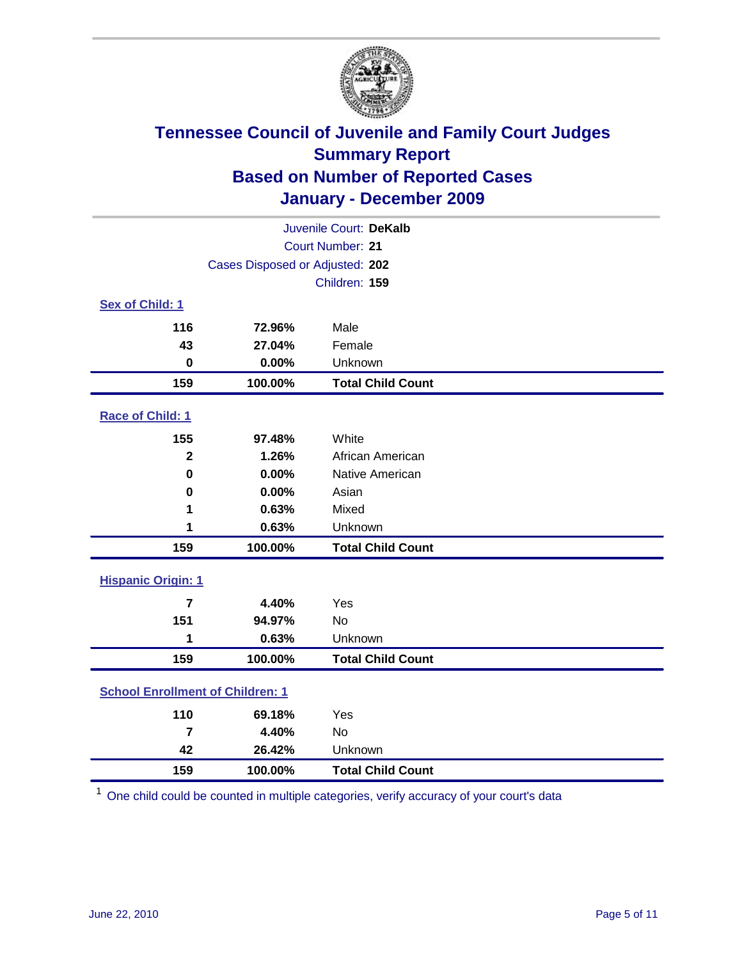

| Juvenile Court: DeKalb                  |                                 |                          |  |  |
|-----------------------------------------|---------------------------------|--------------------------|--|--|
| <b>Court Number: 21</b>                 |                                 |                          |  |  |
|                                         | Cases Disposed or Adjusted: 202 |                          |  |  |
|                                         |                                 | Children: 159            |  |  |
| Sex of Child: 1                         |                                 |                          |  |  |
| 116                                     | 72.96%                          | Male                     |  |  |
| 43                                      | 27.04%                          | Female                   |  |  |
| $\mathbf 0$                             | 0.00%                           | Unknown                  |  |  |
| 159                                     | 100.00%                         | <b>Total Child Count</b> |  |  |
| Race of Child: 1                        |                                 |                          |  |  |
| 155                                     | 97.48%                          | White                    |  |  |
| $\mathbf{2}$                            | 1.26%                           | African American         |  |  |
| $\mathbf 0$                             | 0.00%                           | Native American          |  |  |
| $\mathbf 0$                             | 0.00%                           | Asian                    |  |  |
| 1                                       | 0.63%                           | Mixed                    |  |  |
| 1                                       | 0.63%                           | Unknown                  |  |  |
| 159                                     | 100.00%                         | <b>Total Child Count</b> |  |  |
| <b>Hispanic Origin: 1</b>               |                                 |                          |  |  |
|                                         |                                 |                          |  |  |
| $\overline{7}$                          | 4.40%                           | Yes                      |  |  |
| 151<br>1                                | 94.97%<br>0.63%                 | No<br>Unknown            |  |  |
|                                         |                                 |                          |  |  |
| 159                                     | 100.00%                         | <b>Total Child Count</b> |  |  |
| <b>School Enrollment of Children: 1</b> |                                 |                          |  |  |
| 110                                     | 69.18%                          | Yes                      |  |  |
| $\overline{7}$                          | 4.40%                           | No                       |  |  |
| 42                                      | 26.42%                          | Unknown                  |  |  |
| 159                                     | 100.00%                         | <b>Total Child Count</b> |  |  |

One child could be counted in multiple categories, verify accuracy of your court's data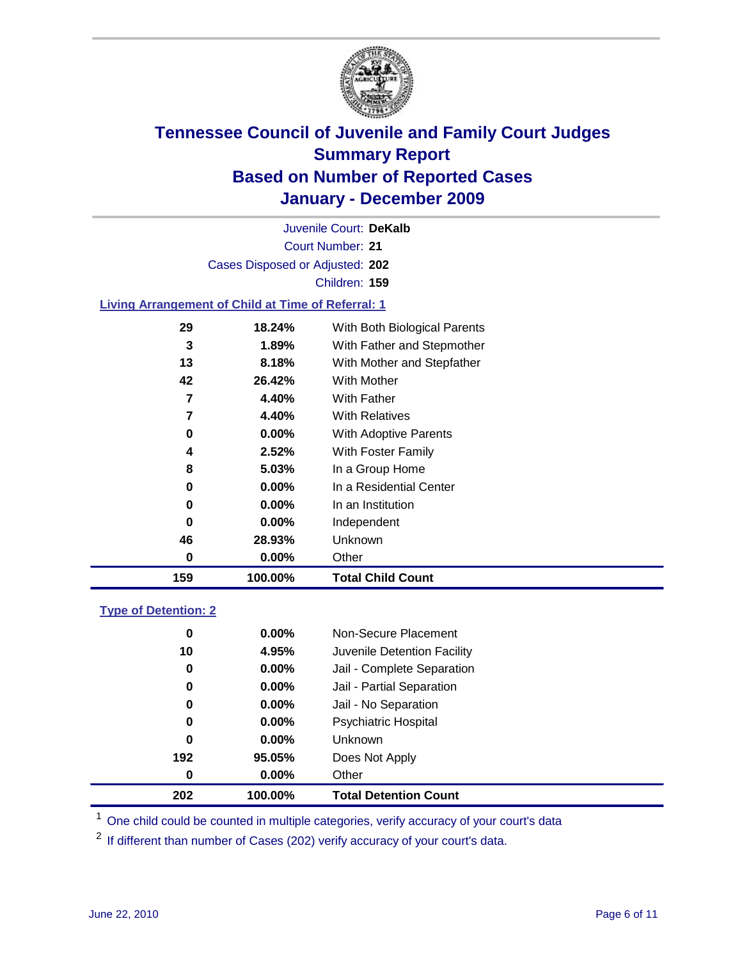

Court Number: **21** Juvenile Court: **DeKalb** Cases Disposed or Adjusted: **202** Children: **159**

#### **Living Arrangement of Child at Time of Referral: 1**

| 159 | 100.00%  | <b>Total Child Count</b>     |
|-----|----------|------------------------------|
| 0   | $0.00\%$ | Other                        |
| 46  | 28.93%   | Unknown                      |
| 0   | $0.00\%$ | Independent                  |
| 0   | $0.00\%$ | In an Institution            |
| 0   | $0.00\%$ | In a Residential Center      |
| 8   | 5.03%    | In a Group Home              |
| 4   | 2.52%    | With Foster Family           |
| 0   | $0.00\%$ | With Adoptive Parents        |
| 7   | 4.40%    | <b>With Relatives</b>        |
| 7   | 4.40%    | With Father                  |
| 42  | 26.42%   | With Mother                  |
| 13  | 8.18%    | With Mother and Stepfather   |
| 3   | 1.89%    | With Father and Stepmother   |
| 29  | 18.24%   | With Both Biological Parents |
|     |          |                              |

#### **Type of Detention: 2**

| 202      | 100.00%  | <b>Total Detention Count</b> |  |
|----------|----------|------------------------------|--|
| $\bf{0}$ | 0.00%    | Other                        |  |
| 192      | 95.05%   | Does Not Apply               |  |
| 0        | $0.00\%$ | <b>Unknown</b>               |  |
| 0        | $0.00\%$ | Psychiatric Hospital         |  |
| 0        | 0.00%    | Jail - No Separation         |  |
| 0        | $0.00\%$ | Jail - Partial Separation    |  |
| 0        | $0.00\%$ | Jail - Complete Separation   |  |
| 10       | 4.95%    | Juvenile Detention Facility  |  |
| 0        | $0.00\%$ | Non-Secure Placement         |  |
|          |          |                              |  |

<sup>1</sup> One child could be counted in multiple categories, verify accuracy of your court's data

<sup>2</sup> If different than number of Cases (202) verify accuracy of your court's data.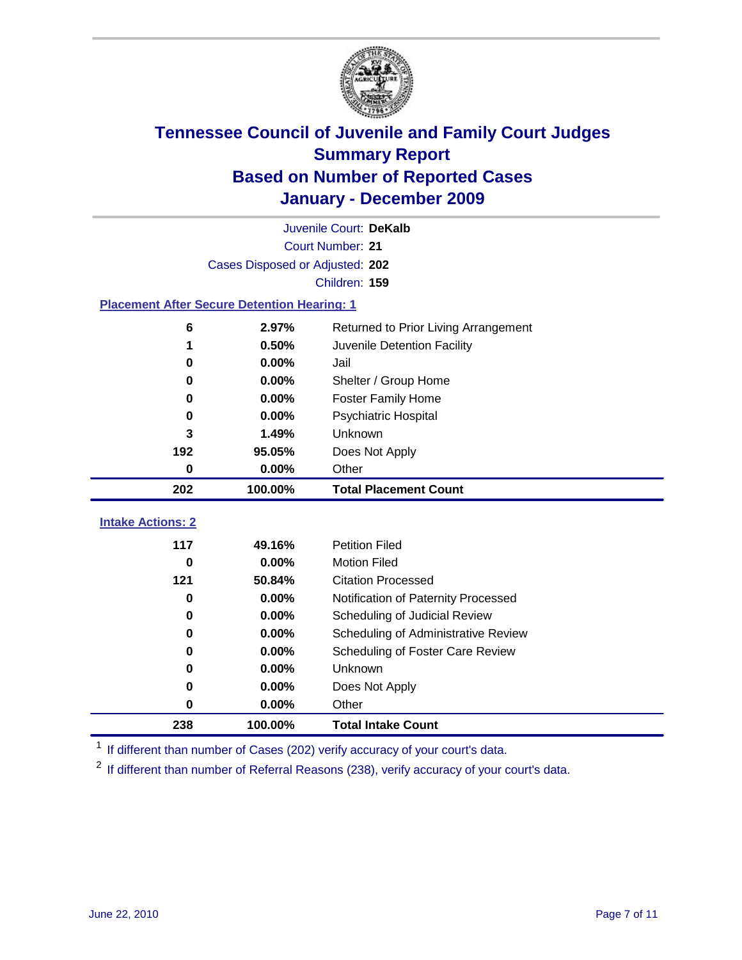

|                                                    | Juvenile Court: DeKalb          |                                      |  |  |  |
|----------------------------------------------------|---------------------------------|--------------------------------------|--|--|--|
|                                                    | Court Number: 21                |                                      |  |  |  |
|                                                    | Cases Disposed or Adjusted: 202 |                                      |  |  |  |
|                                                    |                                 | Children: 159                        |  |  |  |
| <b>Placement After Secure Detention Hearing: 1</b> |                                 |                                      |  |  |  |
| 6                                                  | 2.97%                           | Returned to Prior Living Arrangement |  |  |  |
| 1                                                  | 0.50%                           | Juvenile Detention Facility          |  |  |  |
| 0                                                  | 0.00%                           | Jail                                 |  |  |  |
| $\bf{0}$                                           | 0.00%                           | Shelter / Group Home                 |  |  |  |
| 0                                                  | 0.00%                           | <b>Foster Family Home</b>            |  |  |  |
| $\bf{0}$                                           | 0.00%                           | Psychiatric Hospital                 |  |  |  |
| 3                                                  | 1.49%                           | Unknown                              |  |  |  |
| 192                                                | 95.05%                          | Does Not Apply                       |  |  |  |
| $\mathbf 0$                                        | 0.00%                           | Other                                |  |  |  |
| 202                                                | 100.00%                         | <b>Total Placement Count</b>         |  |  |  |
| <b>Intake Actions: 2</b>                           |                                 |                                      |  |  |  |
|                                                    |                                 |                                      |  |  |  |
| 117                                                | 49.16%                          | <b>Petition Filed</b>                |  |  |  |
| $\bf{0}$                                           | 0.00%                           | <b>Motion Filed</b>                  |  |  |  |
| 121                                                | 50.84%                          | <b>Citation Processed</b>            |  |  |  |
| $\bf{0}$                                           | 0.00%                           | Notification of Paternity Processed  |  |  |  |
| $\mathbf 0$                                        | 0.00%                           | Scheduling of Judicial Review        |  |  |  |
| $\bf{0}$                                           | 0.00%                           | Scheduling of Administrative Review  |  |  |  |
| 0                                                  | 0.00%                           | Scheduling of Foster Care Review     |  |  |  |
| 0                                                  | 0.00%                           | Unknown                              |  |  |  |
| 0                                                  | 0.00%                           | Does Not Apply                       |  |  |  |
| 0                                                  | 0.00%                           | Other                                |  |  |  |
| 238                                                | 100.00%                         | <b>Total Intake Count</b>            |  |  |  |

<sup>1</sup> If different than number of Cases (202) verify accuracy of your court's data.

<sup>2</sup> If different than number of Referral Reasons (238), verify accuracy of your court's data.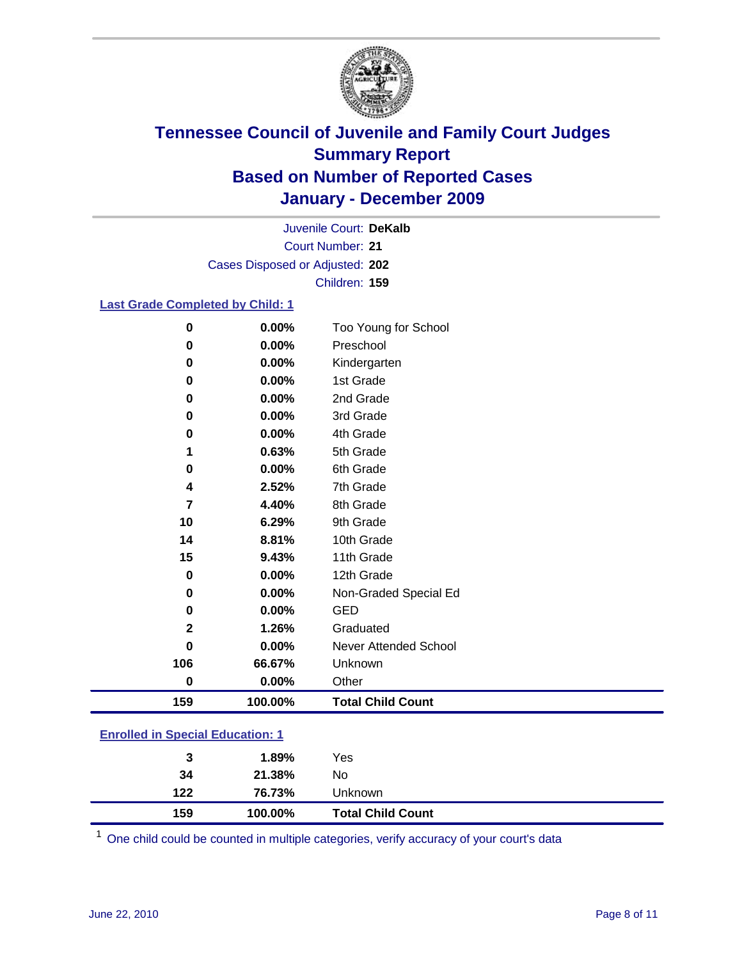

Court Number: **21** Juvenile Court: **DeKalb** Cases Disposed or Adjusted: **202** Children: **159**

#### **Last Grade Completed by Child: 1**

| 159          | 100.00% | <b>Total Child Count</b>     |
|--------------|---------|------------------------------|
| 0            | 0.00%   | Other                        |
| 106          | 66.67%  | Unknown                      |
| 0            | 0.00%   | <b>Never Attended School</b> |
| $\mathbf{2}$ | 1.26%   | Graduated                    |
| 0            | 0.00%   | <b>GED</b>                   |
| 0            | 0.00%   | Non-Graded Special Ed        |
| 0            | 0.00%   | 12th Grade                   |
| 15           | 9.43%   | 11th Grade                   |
| 14           | 8.81%   | 10th Grade                   |
| 10           | 6.29%   | 9th Grade                    |
| 7            | 4.40%   | 8th Grade                    |
| 4            | 2.52%   | 7th Grade                    |
| 0            | 0.00%   | 6th Grade                    |
| 1            | 0.63%   | 5th Grade                    |
| 0            | 0.00%   | 4th Grade                    |
| 0            | 0.00%   | 3rd Grade                    |
| 0            | 0.00%   | 2nd Grade                    |
| 0            | 0.00%   | 1st Grade                    |
| 0            | 0.00%   | Kindergarten                 |
| 0            | 0.00%   | Preschool                    |

| 159                                       | 100.00% | <b>Total Child Count</b> |  |  |
|-------------------------------------------|---------|--------------------------|--|--|
| 122                                       | 76.73%  | Unknown                  |  |  |
| 34                                        | 21.38%  | No                       |  |  |
| 3                                         | 1.89%   | Yes                      |  |  |
| <u>Lillolled III opecial Luucation. T</u> |         |                          |  |  |

One child could be counted in multiple categories, verify accuracy of your court's data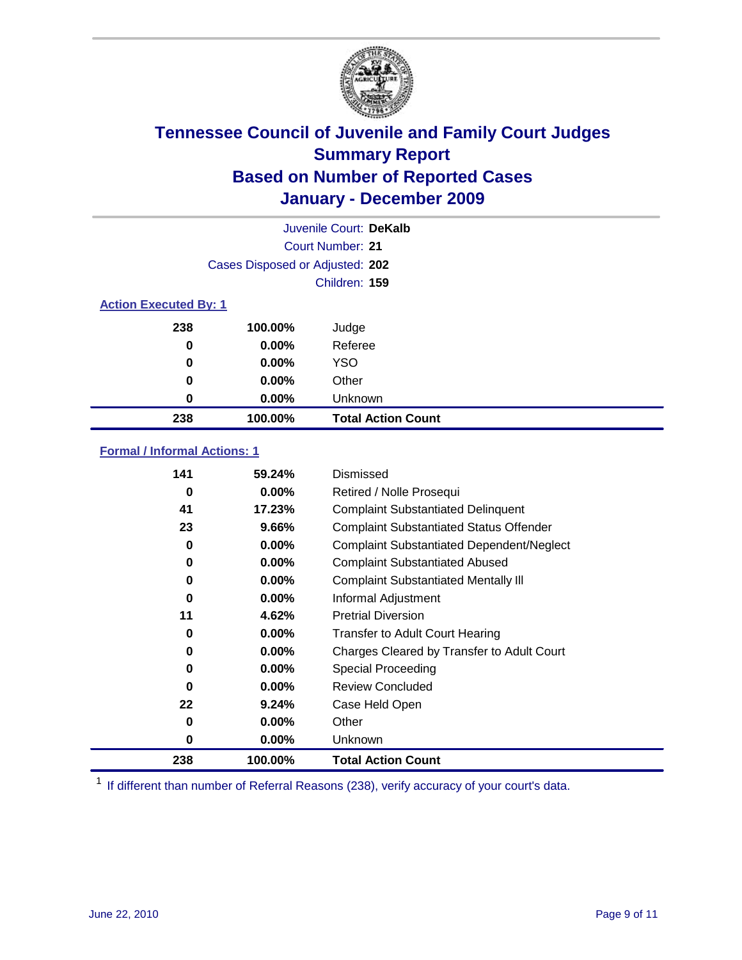

|               | Juvenile Court: DeKalb          |                           |  |  |  |
|---------------|---------------------------------|---------------------------|--|--|--|
|               |                                 | Court Number: 21          |  |  |  |
|               | Cases Disposed or Adjusted: 202 |                           |  |  |  |
| Children: 159 |                                 |                           |  |  |  |
|               | <b>Action Executed By: 1</b>    |                           |  |  |  |
| 238           | 100.00%                         | Judge                     |  |  |  |
| 0             | $0.00\%$                        | Referee                   |  |  |  |
| 0             | $0.00\%$                        | <b>YSO</b>                |  |  |  |
| 0             | 0.00%                           | Other                     |  |  |  |
| 0             | 0.00%                           | Unknown                   |  |  |  |
| 238           | 100.00%                         | <b>Total Action Count</b> |  |  |  |

### **Formal / Informal Actions: 1**

| 141 | 59.24%   | Dismissed                                        |
|-----|----------|--------------------------------------------------|
| 0   | $0.00\%$ | Retired / Nolle Prosequi                         |
| 41  | 17.23%   | <b>Complaint Substantiated Delinquent</b>        |
| 23  | 9.66%    | <b>Complaint Substantiated Status Offender</b>   |
| 0   | $0.00\%$ | <b>Complaint Substantiated Dependent/Neglect</b> |
| 0   | $0.00\%$ | <b>Complaint Substantiated Abused</b>            |
| 0   | $0.00\%$ | <b>Complaint Substantiated Mentally III</b>      |
| 0   | $0.00\%$ | Informal Adjustment                              |
| 11  | 4.62%    | <b>Pretrial Diversion</b>                        |
| 0   | $0.00\%$ | <b>Transfer to Adult Court Hearing</b>           |
| 0   | $0.00\%$ | Charges Cleared by Transfer to Adult Court       |
| 0   | $0.00\%$ | <b>Special Proceeding</b>                        |
| 0   | $0.00\%$ | <b>Review Concluded</b>                          |
| 22  | 9.24%    | Case Held Open                                   |
| 0   | $0.00\%$ | Other                                            |
| 0   | $0.00\%$ | <b>Unknown</b>                                   |
| 238 | 100.00%  | <b>Total Action Count</b>                        |

<sup>1</sup> If different than number of Referral Reasons (238), verify accuracy of your court's data.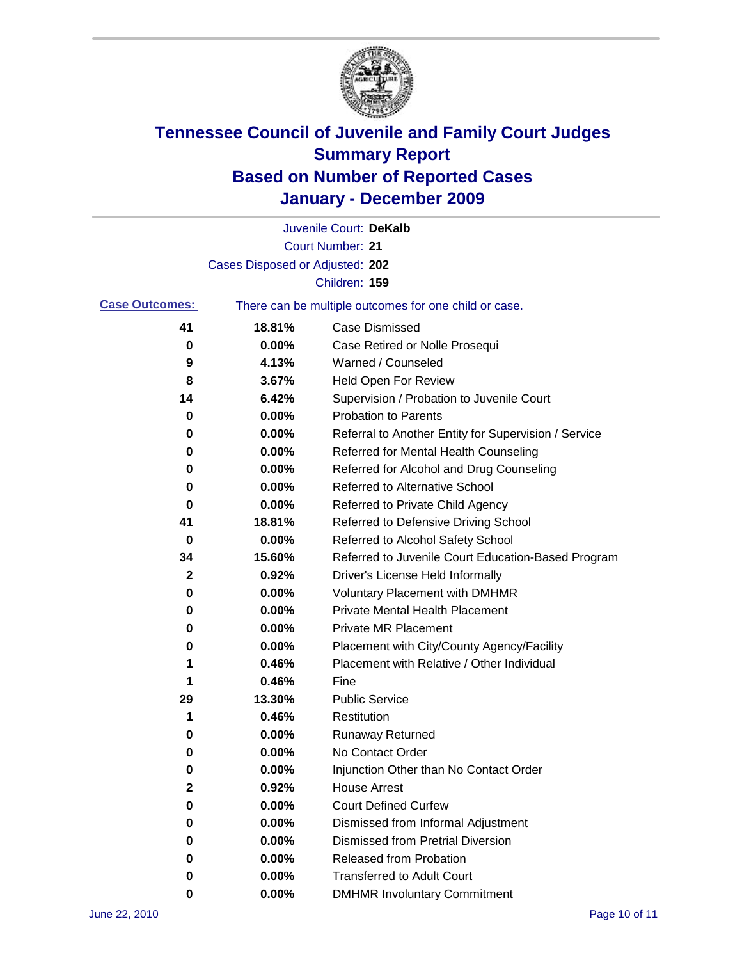

|                       |                                 | Juvenile Court: DeKalb                                |
|-----------------------|---------------------------------|-------------------------------------------------------|
|                       |                                 | <b>Court Number: 21</b>                               |
|                       | Cases Disposed or Adjusted: 202 |                                                       |
|                       |                                 | Children: 159                                         |
| <b>Case Outcomes:</b> |                                 | There can be multiple outcomes for one child or case. |
| 41                    | 18.81%                          | <b>Case Dismissed</b>                                 |
| 0                     | 0.00%                           | Case Retired or Nolle Prosequi                        |
| 9                     | 4.13%                           | Warned / Counseled                                    |
| 8                     | 3.67%                           | Held Open For Review                                  |
| 14                    | 6.42%                           | Supervision / Probation to Juvenile Court             |
| 0                     | 0.00%                           | <b>Probation to Parents</b>                           |
| 0                     | 0.00%                           | Referral to Another Entity for Supervision / Service  |
| 0                     | 0.00%                           | Referred for Mental Health Counseling                 |
| 0                     | 0.00%                           | Referred for Alcohol and Drug Counseling              |
| 0                     | 0.00%                           | <b>Referred to Alternative School</b>                 |
| 0                     | 0.00%                           | Referred to Private Child Agency                      |
| 41                    | 18.81%                          | Referred to Defensive Driving School                  |
| 0                     | 0.00%                           | Referred to Alcohol Safety School                     |
| 34                    | 15.60%                          | Referred to Juvenile Court Education-Based Program    |
| 2                     | 0.92%                           | Driver's License Held Informally                      |
| 0                     | 0.00%                           | <b>Voluntary Placement with DMHMR</b>                 |
| 0                     | 0.00%                           | <b>Private Mental Health Placement</b>                |
| 0                     | 0.00%                           | <b>Private MR Placement</b>                           |
| 0                     | 0.00%                           | Placement with City/County Agency/Facility            |
| 1                     | 0.46%                           | Placement with Relative / Other Individual            |
| 1                     | 0.46%                           | Fine                                                  |
| 29                    | 13.30%                          | <b>Public Service</b>                                 |
| 1                     | 0.46%                           | Restitution                                           |
| 0                     | 0.00%                           | <b>Runaway Returned</b>                               |
| 0                     | 0.00%                           | No Contact Order                                      |
| 0                     | 0.00%                           | Injunction Other than No Contact Order                |
| 2                     | 0.92%                           | <b>House Arrest</b>                                   |
| 0                     | 0.00%                           | <b>Court Defined Curfew</b>                           |
| 0                     | $0.00\%$                        | Dismissed from Informal Adjustment                    |
| 0                     | $0.00\%$                        | <b>Dismissed from Pretrial Diversion</b>              |
| 0                     | 0.00%                           | Released from Probation                               |
| 0                     | $0.00\%$                        | <b>Transferred to Adult Court</b>                     |
| 0                     | 0.00%                           | <b>DMHMR Involuntary Commitment</b>                   |